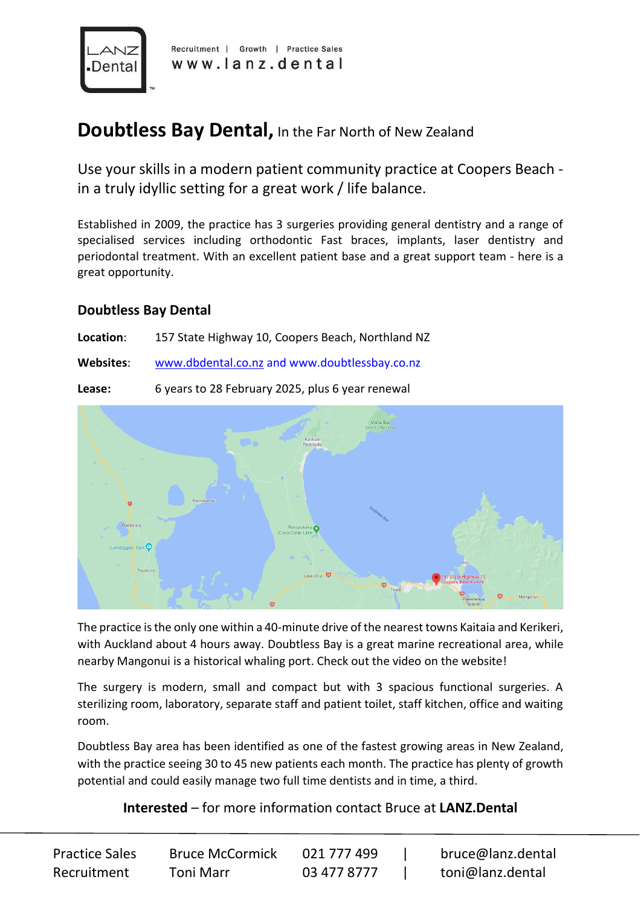

Recruitment | Growth | Practice Sales www.lanz.dental

## **Doubtless Bay Dental, In the Far North of New Zealand**

Use your skills in a modern patient community practice at Coopers Beach in a truly idyllic setting for a great work / life balance.

Established in 2009, the practice has 3 surgeries providing general dentistry and a range of specialised services including orthodontic Fast braces, implants, laser dentistry and periodontal treatment. With an excellent patient base and a great support team - here is a great opportunity.

## **Doubtless Bay Dental**

**Location**: 157 State Highway 10, Coopers Beach, Northland NZ

**Websites**: [www.dbdental.co.nz](http://www.dbdental.co.nz/) and www.doubtlessbay.co.nz

**Lease:** 6 years to 28 February 2025, plus 6 year renewal



The practice is the only one within a 40-minute drive of the nearest towns Kaitaia and Kerikeri, with Auckland about 4 hours away. Doubtless Bay is a great marine recreational area, while nearby Mangonui is a historical whaling port. Check out the video on the website!

The surgery is modern, small and compact but with 3 spacious functional surgeries. A sterilizing room, laboratory, separate staff and patient toilet, staff kitchen, office and waiting room.

Doubtless Bay area has been identified as one of the fastest growing areas in New Zealand, with the practice seeing 30 to 45 new patients each month. The practice has plenty of growth potential and could easily manage two full time dentists and in time, a third.

## **Interested** – for more information contact Bruce at **LANZ.Dental**

| <b>Practice Sales</b> | <b>Bruce McCormick</b> | 021 777 499 | bruce@lanz.dental |
|-----------------------|------------------------|-------------|-------------------|
| Recruitment           | Toni Marr              | 03 477 8777 | toni@lanz.dental  |